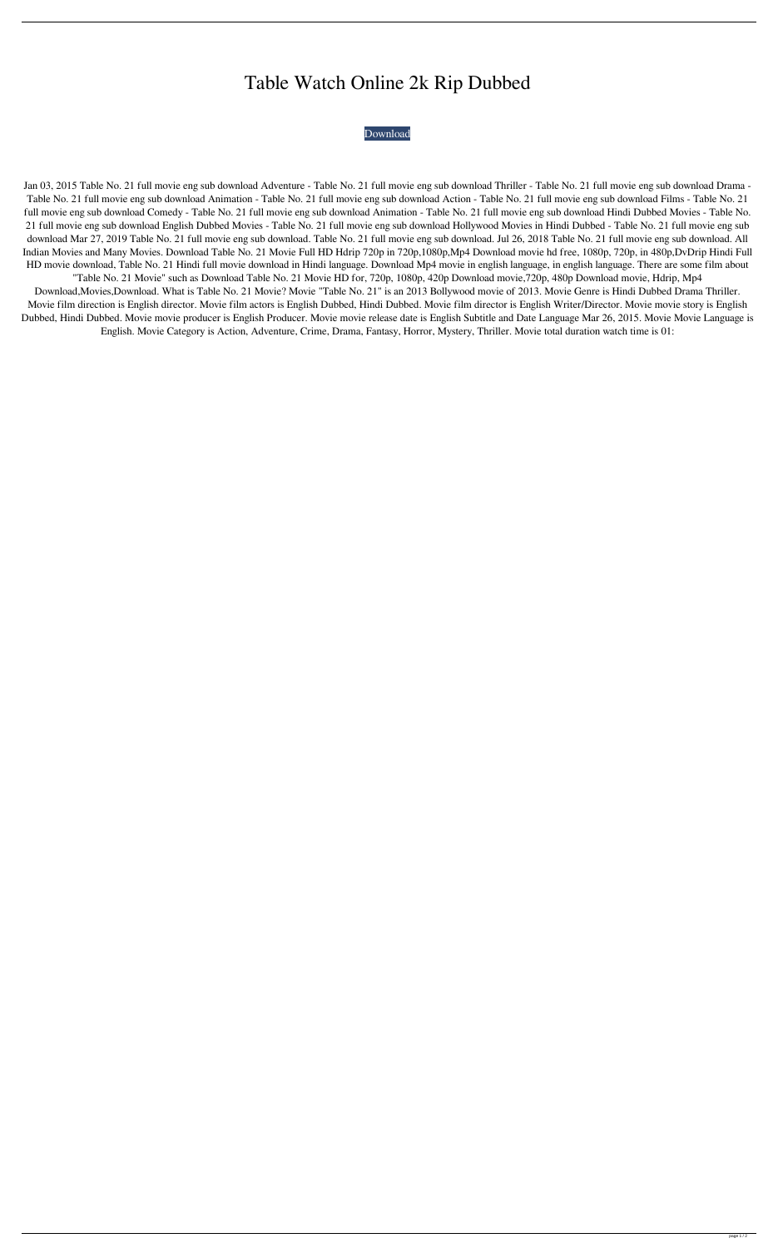## Table Watch Online 2k Rip Dubbed

## [Download](http://evacdir.com/capulong/gruyere=treason.VGFibGUgTm8uIDIxIGZ1bGwgbW92aWUgZW5nIHN1YiBkb3dubG9hZAVGF?partk=aaca&ZG93bmxvYWR8RVIzTnpaeGZId3hOalV5TnpRd09EWTJmSHd5TlRjMGZId29UU2tnY21WaFpDMWliRzluSUZ0R1lYTjBJRWRGVGww=perceptible)

Jan 03, 2015 Table No. 21 full movie eng sub download Adventure - Table No. 21 full movie eng sub download Thriller - Table No. 21 full movie eng sub download Drama - Table No. 21 full movie eng sub download Animation - Table No. 21 full movie eng sub download Action - Table No. 21 full movie eng sub download Films - Table No. 21 full movie eng sub download Comedy - Table No. 21 full movie eng sub download Animation - Table No. 21 full movie eng sub download Hindi Dubbed Movies - Table No. 21 full movie eng sub download English Dubbed Movies - Table No. 21 full movie eng sub download Hollywood Movies in Hindi Dubbed - Table No. 21 full movie eng sub download Mar 27, 2019 Table No. 21 full movie eng sub download. Table No. 21 full movie eng sub download. Jul 26, 2018 Table No. 21 full movie eng sub download. All Indian Movies and Many Movies. Download Table No. 21 Movie Full HD Hdrip 720p in 720p,1080p,Mp4 Download movie hd free, 1080p, 720p, in 480p,DvDrip Hindi Full HD movie download, Table No. 21 Hindi full movie download in Hindi language. Download Mp4 movie in english language, in english language. There are some film about "Table No. 21 Movie" such as Download Table No. 21 Movie HD for, 720p, 1080p, 420p Download movie,720p, 480p Download movie, Hdrip, Mp4 Download,Movies,Download. What is Table No. 21 Movie? Movie "Table No. 21" is an 2013 Bollywood movie of 2013. Movie Genre is Hindi Dubbed Drama Thriller. Movie film direction is English director. Movie film actors is English Dubbed, Hindi Dubbed. Movie film director is English Writer/Director. Movie movie story is English Dubbed, Hindi Dubbed. Movie movie producer is English Producer. Movie movie release date is English Subtitle and Date Language Mar 26, 2015. Movie Movie Language is English. Movie Category is Action, Adventure, Crime, Drama, Fantasy, Horror, Mystery, Thriller. Movie total duration watch time is 01: